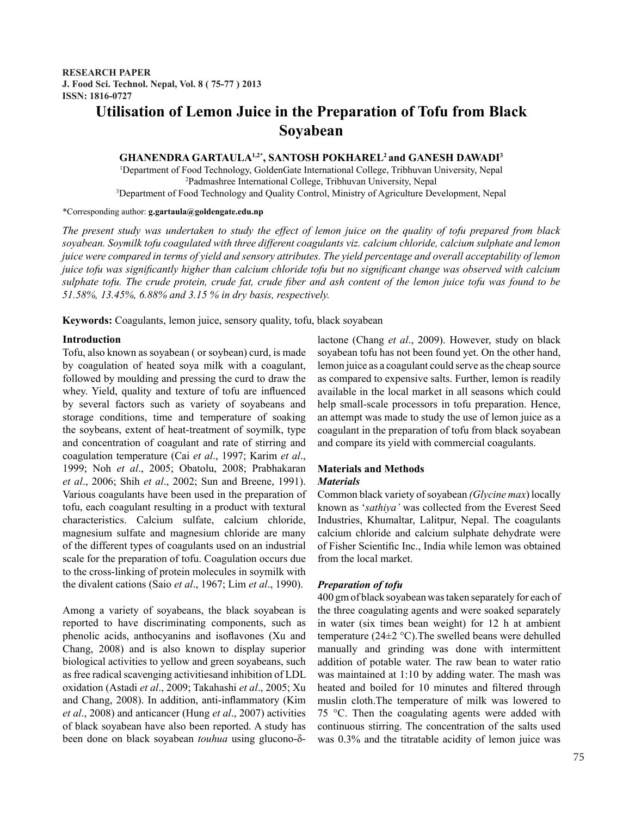# **Utilisation of Lemon Juice in the Preparation of Tofu from Black Soyabean**

GHANENDRA GARTAULA<sup>1,2\*</sup>, SANTOSH POKHAREL<sup>2</sup> and GANESH DAWADI<sup>3</sup>

1 Department of Food Technology, GoldenGate International College, Tribhuvan University, Nepal 2 Padmashree International College, Tribhuvan University, Nepal 3 Department of Food Technology and Quality Control, Ministry of Agriculture Development, Nepal

\*Corresponding author: **g.gartaula@goldengate.edu.np**

*The present study was undertaken to study the effect of lemon juice on the quality of tofu prepared from black soyabean. Soymilk tofu coagulated with three different coagulants viz. calcium chloride, calcium sulphate and lemon juice were compared in terms of yield and sensory attributes. The yield percentage and overall acceptability of lemon juice tofu was significantly higher than calcium chloride tofu but no significant change was observed with calcium sulphate tofu. The crude protein, crude fat, crude fiber and ash content of the lemon juice tofu was found to be 51.58%, 13.45%, 6.88% and 3.15 % in dry basis, respectively.*

**Keywords:** Coagulants, lemon juice, sensory quality, tofu, black soyabean

## **Introduction**

Tofu, also known as soyabean ( or soybean) curd, is made by coagulation of heated soya milk with a coagulant, followed by moulding and pressing the curd to draw the whey. Yield, quality and texture of tofu are influenced by several factors such as variety of soyabeans and storage conditions, time and temperature of soaking the soybeans, extent of heat-treatment of soymilk, type and concentration of coagulant and rate of stirring and coagulation temperature (Cai *et al*., 1997; Karim *et al*., 1999; Noh *et al*., 2005; Obatolu, 2008; Prabhakaran *et al*., 2006; Shih *et al*., 2002; Sun and Breene, 1991). Various coagulants have been used in the preparation of tofu, each coagulant resulting in a product with textural characteristics. Calcium sulfate, calcium chloride, magnesium sulfate and magnesium chloride are many of the different types of coagulants used on an industrial scale for the preparation of tofu. Coagulation occurs due to the cross-linking of protein molecules in soymilk with the divalent cations (Saio *et al*., 1967; Lim *et al*., 1990).

Among a variety of soyabeans, the black soyabean is reported to have discriminating components, such as phenolic acids, anthocyanins and isoflavones (Xu and Chang, 2008) and is also known to display superior biological activities to yellow and green soyabeans, such as free radical scavenging activitiesand inhibition of LDL oxidation (Astadi *et al*., 2009; Takahashi *et al*., 2005; Xu and Chang, 2008). In addition, anti-inflammatory (Kim *et al*., 2008) and anticancer (Hung *et al*., 2007) activities of black soyabean have also been reported. A study has been done on black soyabean *touhua* using glucono-δlactone (Chang *et al*., 2009). However, study on black soyabean tofu has not been found yet. On the other hand, lemon juice as a coagulant could serve as the cheap source as compared to expensive salts. Further, lemon is readily available in the local market in all seasons which could help small-scale processors in tofu preparation. Hence, an attempt was made to study the use of lemon juice as a coagulant in the preparation of tofu from black soyabean and compare its yield with commercial coagulants.

## **Materials and Methods**

## *Materials*

Common black variety of soyabean *(Glycine max*) locally known as '*sathiya'* was collected from the Everest Seed Industries, Khumaltar, Lalitpur, Nepal. The coagulants calcium chloride and calcium sulphate dehydrate were of Fisher Scientific Inc., India while lemon was obtained from the local market.

## *Preparation of tofu*

400 gm of black soyabean was taken separately for each of the three coagulating agents and were soaked separately in water (six times bean weight) for 12 h at ambient temperature ( $24\pm2$  °C). The swelled beans were dehulled manually and grinding was done with intermittent addition of potable water. The raw bean to water ratio was maintained at 1:10 by adding water. The mash was heated and boiled for 10 minutes and filtered through muslin cloth.The temperature of milk was lowered to 75 °C. Then the coagulating agents were added with continuous stirring. The concentration of the salts used was 0.3% and the titratable acidity of lemon juice was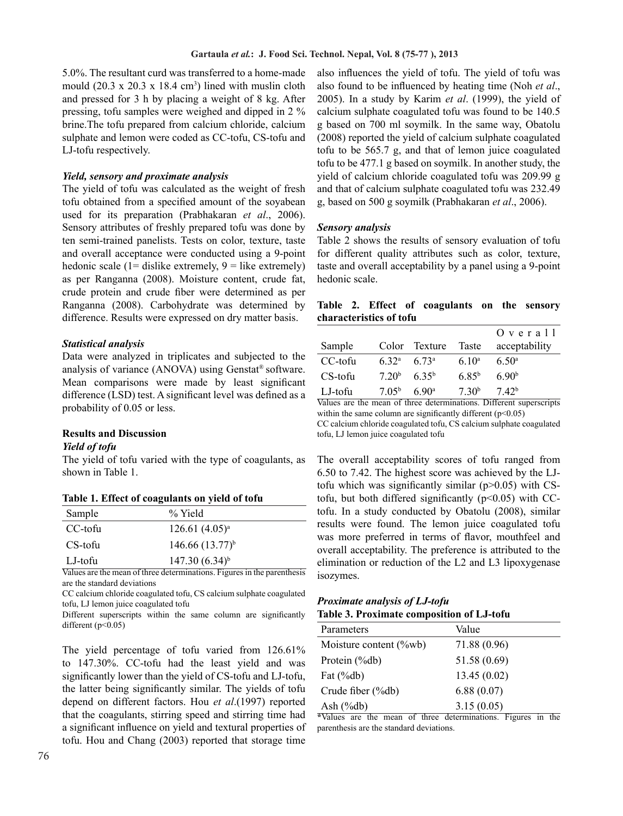5.0%. The resultant curd was transferred to a home-made mould  $(20.3 \times 20.3 \times 18.4 \text{ cm}^3)$  lined with muslin cloth and pressed for 3 h by placing a weight of 8 kg. After pressing, tofu samples were weighed and dipped in 2 % brine.The tofu prepared from calcium chloride, calcium sulphate and lemon were coded as CC-tofu, CS-tofu and LJ-tofu respectively.

### *Yield, sensory and proximate analysis*

The yield of tofu was calculated as the weight of fresh tofu obtained from a specified amount of the soyabean used for its preparation (Prabhakaran *et al*., 2006). Sensory attributes of freshly prepared tofu was done by ten semi-trained panelists. Tests on color, texture, taste and overall acceptance were conducted using a 9-point hedonic scale  $(1=$  dislike extremely,  $9 =$  like extremely) as per Ranganna (2008). Moisture content, crude fat, crude protein and crude fiber were determined as per Ranganna (2008). Carbohydrate was determined by difference. Results were expressed on dry matter basis.

#### *Statistical analysis*

Data were analyzed in triplicates and subjected to the analysis of variance (ANOVA) using Genstat® software. Mean comparisons were made by least significant difference (LSD) test. A significant level was defined as a probability of 0.05 or less.

#### **Results and Discussion**

#### *Yield of tofu*

The yield of tofu varied with the type of coagulants, as shown in Table 1.

**Table 1. Effect of coagulants on yield of tofu**

| Sample  | % Yield             |
|---------|---------------------|
| CC-tofu | $126.61 (4.05)^a$   |
| CS-tofu | $146.66(13.77)^{b}$ |
| LJ-tofu | $147.30(6.34)^{b}$  |

Values are the mean of three determinations. Figures in the parenthesis are the standard deviations

CC calcium chloride coagulated tofu, CS calcium sulphate coagulated tofu, LJ lemon juice coagulated tofu

Different superscripts within the same column are significantly different  $(p<0.05)$ 

The yield percentage of tofu varied from 126.61% to 147.30%. CC-tofu had the least yield and was significantly lower than the yield of CS-tofu and LJ-tofu, the latter being significantly similar. The yields of tofu depend on different factors. Hou *et al*.(1997) reported that the coagulants, stirring speed and stirring time had a significant influence on yield and textural properties of tofu. Hou and Chang (2003) reported that storage time

also influences the yield of tofu. The yield of tofu was also found to be influenced by heating time (Noh *et al*., 2005). In a study by Karim *et al*. (1999), the yield of calcium sulphate coagulated tofu was found to be 140.5 g based on 700 ml soymilk. In the same way, Obatolu (2008) reported the yield of calcium sulphate coagulated tofu to be 565.7 g, and that of lemon juice coagulated tofu to be 477.1 g based on soymilk. In another study, the yield of calcium chloride coagulated tofu was 209.99 g and that of calcium sulphate coagulated tofu was 232.49 g, based on 500 g soymilk (Prabhakaran *et al*., 2006).

#### *Sensory analysis*

Table 2 shows the results of sensory evaluation of tofu for different quality attributes such as color, texture, taste and overall acceptability by a panel using a 9-point hedonic scale.

## **Table 2. Effect of coagulants on the sensory characteristics of tofu**

|         |                   |                   |                   | $O$ v e r a $11$  |
|---------|-------------------|-------------------|-------------------|-------------------|
| Sample  |                   | Color Texture     | Taste             | acceptability     |
| CC-tofu | 6.32 <sup>a</sup> | $673^a$           | 6.10 <sup>a</sup> | 6.50 <sup>a</sup> |
| CS-tofu | 7.20 <sup>b</sup> | $6.35^{b}$        | 685 <sup>b</sup>  | 690 <sup>b</sup>  |
| LJ-tofu | 7.05 <sup>b</sup> | 6.90 <sup>a</sup> | 7.30 <sup>b</sup> | 7.42 <sup>b</sup> |

Values are the mean of three determinations. Different superscripts within the same column are significantly different  $(p<0.05)$ CC calcium chloride coagulated tofu, CS calcium sulphate coagulated

tofu, LJ lemon juice coagulated tofu

The overall acceptability scores of tofu ranged from 6.50 to 7.42. The highest score was achieved by the LJtofu which was significantly similar  $(p>0.05)$  with CStofu, but both differed significantly  $(p<0.05)$  with CCtofu. In a study conducted by Obatolu (2008), similar results were found. The lemon juice coagulated tofu was more preferred in terms of flavor, mouthfeel and overall acceptability. The preference is attributed to the elimination or reduction of the L2 and L3 lipoxygenase isozymes.

## *Proximate analysis of LJ-tofu* **Table 3. Proximate composition of LJ-tofu**

| Parameters             | Value        |
|------------------------|--------------|
| Moisture content (%wb) | 71.88 (0.96) |
| Protein (%db)          | 51.58 (0.69) |
| Fat $(\%db)$           | 13.45(0.02)  |
| Crude fiber (%db)      | 6.88(0.07)   |
| Ash $(\%db)$           | 3.15(0.05)   |

**\***Values are the mean of three determinations. Figures in the parenthesis are the standard deviations.